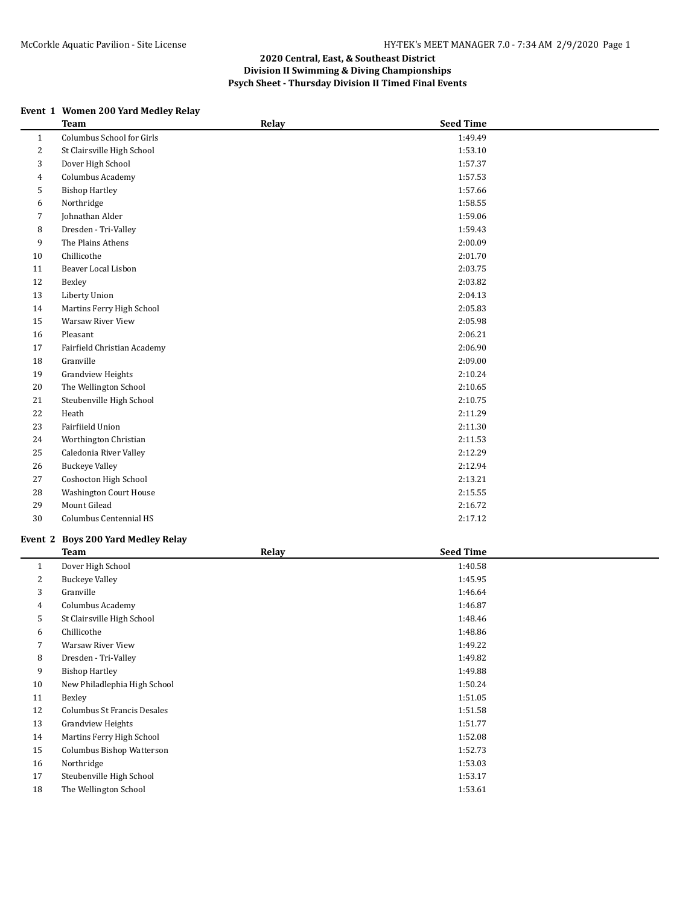# **Event 1 Women 200 Yard Medley Relay**

|              | <b>Team</b>                   | Relay | <b>Seed Time</b> |  |
|--------------|-------------------------------|-------|------------------|--|
| $\mathbf{1}$ | Columbus School for Girls     |       | 1:49.49          |  |
| 2            | St Clairsville High School    |       | 1:53.10          |  |
| 3            | Dover High School             |       | 1:57.37          |  |
| 4            | Columbus Academy              |       | 1:57.53          |  |
| 5            | <b>Bishop Hartley</b>         |       | 1:57.66          |  |
| 6            | Northridge                    |       | 1:58.55          |  |
| 7            | Johnathan Alder               |       | 1:59.06          |  |
| 8            | Dresden - Tri-Valley          |       | 1:59.43          |  |
| 9            | The Plains Athens             |       | 2:00.09          |  |
| 10           | Chillicothe                   |       | 2:01.70          |  |
| 11           | Beaver Local Lisbon           |       | 2:03.75          |  |
| 12           | Bexley                        |       | 2:03.82          |  |
| 13           | Liberty Union                 |       | 2:04.13          |  |
| 14           | Martins Ferry High School     |       | 2:05.83          |  |
| 15           | Warsaw River View             |       | 2:05.98          |  |
| 16           | Pleasant                      |       | 2:06.21          |  |
| 17           | Fairfield Christian Academy   |       | 2:06.90          |  |
| 18           | Granville                     |       | 2:09.00          |  |
| 19           | <b>Grandview Heights</b>      |       | 2:10.24          |  |
| 20           | The Wellington School         |       | 2:10.65          |  |
| 21           | Steubenville High School      |       | 2:10.75          |  |
| 22           | Heath                         |       | 2:11.29          |  |
| 23           | Fairfiield Union              |       | 2:11.30          |  |
| 24           | Worthington Christian         |       | 2:11.53          |  |
| 25           | Caledonia River Valley        |       | 2:12.29          |  |
| 26           | <b>Buckeye Valley</b>         |       | 2:12.94          |  |
| 27           | Coshocton High School         |       | 2:13.21          |  |
| 28           | <b>Washington Court House</b> |       | 2:15.55          |  |
| 29           | Mount Gilead                  |       | 2:16.72          |  |
| 30           | Columbus Centennial HS        |       | 2:17.12          |  |
|              |                               |       |                  |  |

#### **Event 2 Boys 200 Yard Medley Relay**

|    | <b>Team</b>                  | Relay | <b>Seed Time</b> |  |
|----|------------------------------|-------|------------------|--|
| 1  | Dover High School            |       | 1:40.58          |  |
| 2  | <b>Buckeye Valley</b>        |       | 1:45.95          |  |
| 3  | Granville                    |       | 1:46.64          |  |
| 4  | Columbus Academy             |       | 1:46.87          |  |
| 5  | St Clairsville High School   |       | 1:48.46          |  |
| 6  | Chillicothe                  |       | 1:48.86          |  |
| 7  | Warsaw River View            |       | 1:49.22          |  |
| 8  | Dresden - Tri-Valley         |       | 1:49.82          |  |
| 9  | <b>Bishop Hartley</b>        |       | 1:49.88          |  |
| 10 | New Philadlephia High School |       | 1:50.24          |  |
| 11 | Bexley                       |       | 1:51.05          |  |
| 12 | Columbus St Francis Desales  |       | 1:51.58          |  |
| 13 | <b>Grandview Heights</b>     |       | 1:51.77          |  |
| 14 | Martins Ferry High School    |       | 1:52.08          |  |
| 15 | Columbus Bishop Watterson    |       | 1:52.73          |  |
| 16 | Northridge                   |       | 1:53.03          |  |
| 17 | Steubenville High School     |       | 1:53.17          |  |
| 18 | The Wellington School        |       | 1:53.61          |  |
|    |                              |       |                  |  |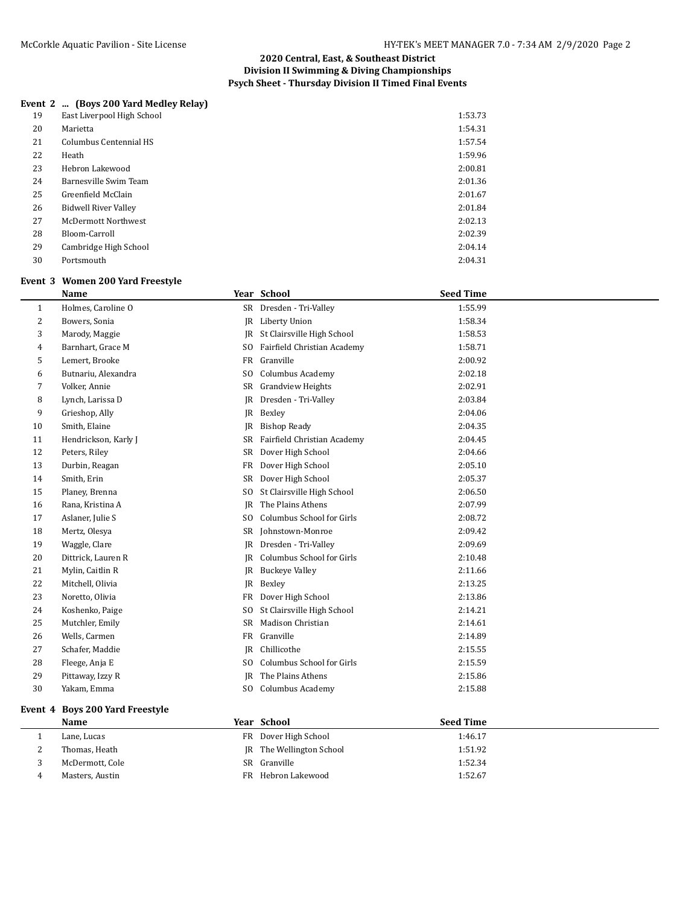## **Event 2 ... (Boys 200 Yard Medley Relay)**

| 19 | East Liverpool High School  | 1:53.73 |
|----|-----------------------------|---------|
| 20 | Marietta                    | 1:54.31 |
| 21 | Columbus Centennial HS      | 1:57.54 |
| 22 | Heath                       | 1:59.96 |
| 23 | Hebron Lakewood             | 2:00.81 |
| 24 | Barnesville Swim Team       | 2:01.36 |
| 25 | Greenfield McClain          | 2:01.67 |
| 26 | <b>Bidwell River Valley</b> | 2:01.84 |
| 27 | <b>McDermott Northwest</b>  | 2:02.13 |
| 28 | Bloom-Carroll               | 2:02.39 |
| 29 | Cambridge High School       | 2:04.14 |
| 30 | Portsmouth                  | 2:04.31 |

#### **Event 3 Women 200 Yard Freestyle**

|              | <b>Name</b>          |                | Year School                 | <b>Seed Time</b> |
|--------------|----------------------|----------------|-----------------------------|------------------|
| $\mathbf{1}$ | Holmes, Caroline O   | <b>SR</b>      | Dresden - Tri-Valley        | 1:55.99          |
| 2            | Bowers, Sonia        | IR             | Liberty Union               | 1:58.34          |
| 3            | Marody, Maggie       | IR             | St Clairsville High School  | 1:58.53          |
| 4            | Barnhart, Grace M    | S <sub>0</sub> | Fairfield Christian Academy | 1:58.71          |
| 5            | Lemert, Brooke       | FR             | Granville                   | 2:00.92          |
| 6            | Butnariu, Alexandra  | S <sub>O</sub> | Columbus Academy            | 2:02.18          |
| 7            | Volker, Annie        | SR             | <b>Grandview Heights</b>    | 2:02.91          |
| 8            | Lynch, Larissa D     | JR             | Dresden - Tri-Valley        | 2:03.84          |
| 9            | Grieshop, Ally       | JR             | Bexley                      | 2:04.06          |
| 10           | Smith, Elaine        | IR             | <b>Bishop Ready</b>         | 2:04.35          |
| 11           | Hendrickson, Karly J | SR             | Fairfield Christian Academy | 2:04.45          |
| 12           | Peters, Riley        | SR             | Dover High School           | 2:04.66          |
| 13           | Durbin, Reagan       | FR             | Dover High School           | 2:05.10          |
| 14           | Smith, Erin          | <b>SR</b>      | Dover High School           | 2:05.37          |
| 15           | Planey, Brenna       | SO.            | St Clairsville High School  | 2:06.50          |
| 16           | Rana, Kristina A     | JR             | The Plains Athens           | 2:07.99          |
| 17           | Aslaner, Julie S     | S <sub>O</sub> | Columbus School for Girls   | 2:08.72          |
| 18           | Mertz, Olesya        | SR             | Johnstown-Monroe            | 2:09.42          |
| 19           | Waggle, Clare        | IR             | Dresden - Tri-Valley        | 2:09.69          |
| 20           | Dittrick, Lauren R   | IR             | Columbus School for Girls   | 2:10.48          |
| 21           | Mylin, Caitlin R     | JR             | <b>Buckeye Valley</b>       | 2:11.66          |
| 22           | Mitchell, Olivia     | JR             | Bexley                      | 2:13.25          |
| 23           | Noretto, Olivia      | FR             | Dover High School           | 2:13.86          |
| 24           | Koshenko, Paige      | SO.            | St Clairsville High School  | 2:14.21          |
| 25           | Mutchler, Emily      | SR             | Madison Christian           | 2:14.61          |
| 26           | Wells, Carmen        | FR             | Granville                   | 2:14.89          |
| 27           | Schafer, Maddie      | IR             | Chillicothe                 | 2:15.55          |
| 28           | Fleege, Anja E       | S <sub>O</sub> | Columbus School for Girls   | 2:15.59          |
| 29           | Pittaway, Izzy R     | <b>IR</b>      | The Plains Athens           | 2:15.86          |
| 30           | Yakam, Emma          | SO.            | Columbus Academy            | 2:15.88          |

# **Event 4 Boys 200 Yard Freestyle**

|          | Name            | Year School              | <b>Seed Time</b> |
|----------|-----------------|--------------------------|------------------|
|          | Lane, Lucas     | FR Dover High School     | 1:46.17          |
| <u>.</u> | Thomas, Heath   | JR The Wellington School | 1:51.92          |
|          | McDermott, Cole | SR Granville             | 1:52.34          |
|          | Masters, Austin | FR Hebron Lakewood       | 1:52.67          |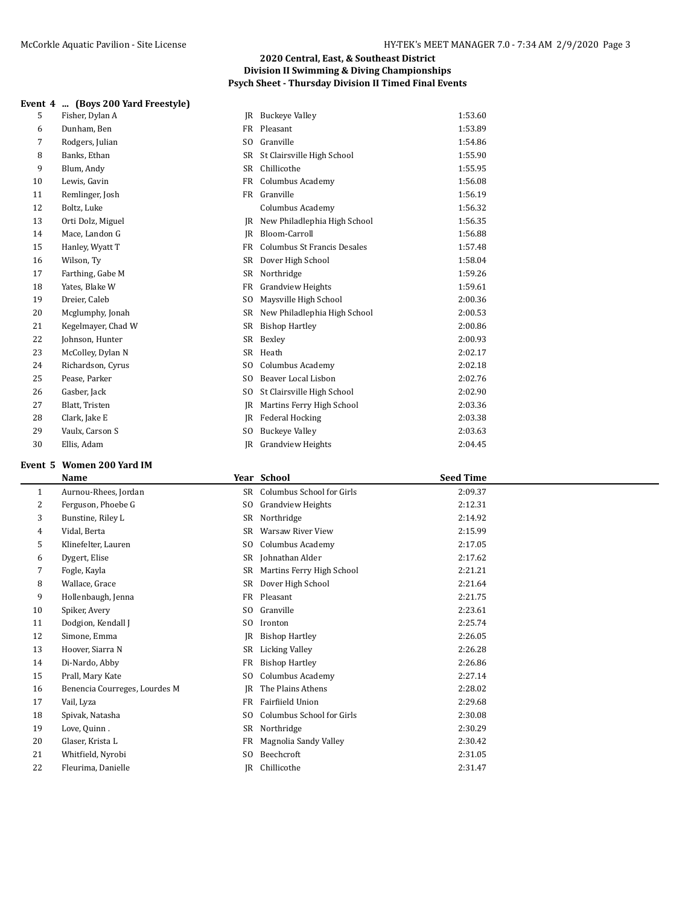|  |  | Event 4  (Boys 200 Yard Freestyle) |  |  |  |
|--|--|------------------------------------|--|--|--|
|--|--|------------------------------------|--|--|--|

| 5  | Fisher, Dylan A    | IR             | Buckeye Valley               | 1:53.60 |
|----|--------------------|----------------|------------------------------|---------|
| 6  | Dunham, Ben        | FR             | Pleasant                     | 1:53.89 |
| 7  | Rodgers, Julian    | SO.            | Granville                    | 1:54.86 |
| 8  | Banks, Ethan       | SR -           | St Clairsville High School   | 1:55.90 |
| 9  | Blum, Andy         | SR             | Chillicothe                  | 1:55.95 |
| 10 | Lewis, Gavin       | FR             | Columbus Academy             | 1:56.08 |
| 11 | Remlinger, Josh    |                | FR Granville                 | 1:56.19 |
| 12 | Boltz, Luke        |                | Columbus Academy             | 1:56.32 |
| 13 | Orti Dolz, Miguel  | IR             | New Philadlephia High School | 1:56.35 |
| 14 | Mace, Landon G     | IR             | Bloom-Carroll                | 1:56.88 |
| 15 | Hanley, Wyatt T    | FR             | Columbus St Francis Desales  | 1:57.48 |
| 16 | Wilson, Ty         |                | SR Dover High School         | 1:58.04 |
| 17 | Farthing, Gabe M   | SR             | Northridge                   | 1:59.26 |
| 18 | Yates, Blake W     | <b>FR</b>      | <b>Grandview Heights</b>     | 1:59.61 |
| 19 | Dreier, Caleb      | S <sub>0</sub> | Maysville High School        | 2:00.36 |
| 20 | Mcglumphy, Jonah   | SR -           | New Philadlephia High School | 2:00.53 |
| 21 | Kegelmayer, Chad W | SR             | <b>Bishop Hartley</b>        | 2:00.86 |
| 22 | Johnson, Hunter    |                | SR Bexley                    | 2:00.93 |
| 23 | McColley, Dylan N  | SR             | Heath                        | 2:02.17 |
| 24 | Richardson, Cyrus  | S <sub>0</sub> | Columbus Academy             | 2:02.18 |
| 25 | Pease, Parker      | SO.            | Beaver Local Lisbon          | 2:02.76 |
| 26 | Gasber, Jack       | S <sub>0</sub> | St Clairsville High School   | 2:02.90 |
| 27 | Blatt, Tristen     | IR             | Martins Ferry High School    | 2:03.36 |
| 28 | Clark, Jake E      | <b>IR</b>      | <b>Federal Hocking</b>       | 2:03.38 |
| 29 | Vaulx, Carson S    | S <sub>0</sub> | <b>Buckeye Valley</b>        | 2:03.63 |
| 30 | Ellis, Adam        | <b>JR</b>      | <b>Grandview Heights</b>     | 2:04.45 |
|    |                    |                |                              |         |

# **Event 5 Women 200 Yard IM**

|    | Name                          |                | Year School               | <b>Seed Time</b> |  |
|----|-------------------------------|----------------|---------------------------|------------------|--|
| 1  | Aurnou-Rhees, Jordan          | SR             | Columbus School for Girls | 2:09.37          |  |
| 2  | Ferguson, Phoebe G            | SO.            | <b>Grandview Heights</b>  | 2:12.31          |  |
| 3  | Bunstine, Riley L             | SR             | Northridge                | 2:14.92          |  |
| 4  | Vidal, Berta                  | SR             | <b>Warsaw River View</b>  | 2:15.99          |  |
| 5  | Klinefelter, Lauren           | SO.            | Columbus Academy          | 2:17.05          |  |
| 6  | Dygert, Elise                 | SR             | Johnathan Alder           | 2:17.62          |  |
| 7  | Fogle, Kayla                  | SR             | Martins Ferry High School | 2:21.21          |  |
| 8  | Wallace, Grace                | SR             | Dover High School         | 2:21.64          |  |
| 9  | Hollenbaugh, Jenna            | FR             | Pleasant                  | 2:21.75          |  |
| 10 | Spiker, Avery                 | SO.            | Granville                 | 2:23.61          |  |
| 11 | Dodgion, Kendall J            | SO.            | Ironton                   | 2:25.74          |  |
| 12 | Simone, Emma                  | JR             | <b>Bishop Hartley</b>     | 2:26.05          |  |
| 13 | Hoover, Siarra N              | SR             | <b>Licking Valley</b>     | 2:26.28          |  |
| 14 | Di-Nardo, Abby                | FR             | <b>Bishop Hartley</b>     | 2:26.86          |  |
| 15 | Prall, Mary Kate              | S <sub>0</sub> | Columbus Academy          | 2:27.14          |  |
| 16 | Benencia Courreges, Lourdes M | <b>JR</b>      | The Plains Athens         | 2:28.02          |  |
| 17 | Vail, Lyza                    | FR             | Fairfiield Union          | 2:29.68          |  |
| 18 | Spivak, Natasha               | S <sub>0</sub> | Columbus School for Girls | 2:30.08          |  |
| 19 | Love, Quinn.                  | SR             | Northridge                | 2:30.29          |  |
| 20 | Glaser, Krista L              | FR             | Magnolia Sandy Valley     | 2:30.42          |  |
| 21 | Whitfield, Nyrobi             | SO.            | Beechcroft                | 2:31.05          |  |
| 22 | Fleurima, Danielle            | IR             | Chillicothe               | 2:31.47          |  |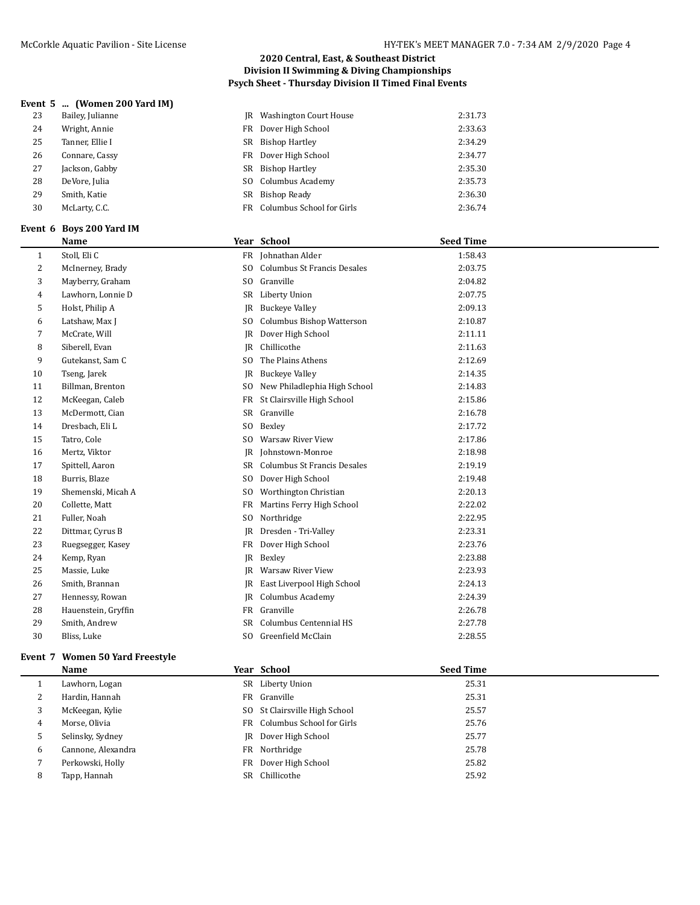## **Event 5 ... (Women 200 Yard IM)**

| 23 | Bailey, Julianne | <b>IR</b> Washington Court House | 2:31.73 |
|----|------------------|----------------------------------|---------|
| 24 | Wright, Annie    | FR Dover High School             | 2:33.63 |
| 25 | Tanner, Ellie I  | SR Bishop Hartley                | 2:34.29 |
| 26 | Connare, Cassy   | FR Dover High School             | 2:34.77 |
| 27 | Jackson, Gabby   | SR Bishop Hartley                | 2:35.30 |
| 28 | DeVore, Julia    | SO Columbus Academy              | 2:35.73 |
| 29 | Smith, Katie     | SR Bishop Ready                  | 2:36.30 |
| 30 | McLarty, C.C.    | FR Columbus School for Girls     | 2:36.74 |
|    |                  |                                  |         |

#### **Event 6 Boys 200 Yard IM**

 $\overline{a}$ 

|    | <b>Name</b>         |                | Year School                  | <b>Seed Time</b> |
|----|---------------------|----------------|------------------------------|------------------|
| 1  | Stoll, Eli C        | FR             | Johnathan Alder              | 1:58.43          |
| 2  | McInerney, Brady    | SO.            | Columbus St Francis Desales  | 2:03.75          |
| 3  | Mayberry, Graham    | SO.            | Granville                    | 2:04.82          |
| 4  | Lawhorn, Lonnie D   | SR             | Liberty Union                | 2:07.75          |
| 5  | Holst, Philip A     | IR             | <b>Buckeye Valley</b>        | 2:09.13          |
| 6  | Latshaw, Max J      | SO.            | Columbus Bishop Watterson    | 2:10.87          |
| 7  | McCrate, Will       | IR             | Dover High School            | 2:11.11          |
| 8  | Siberell, Evan      | IR             | Chillicothe                  | 2:11.63          |
| 9  | Gutekanst, Sam C    | S <sub>0</sub> | The Plains Athens            | 2:12.69          |
| 10 | Tseng, Jarek        | IR             | <b>Buckeye Valley</b>        | 2:14.35          |
| 11 | Billman, Brenton    | SO.            | New Philadlephia High School | 2:14.83          |
| 12 | McKeegan, Caleb     | FR             | St Clairsville High School   | 2:15.86          |
| 13 | McDermott, Cian     | SR             | Granville                    | 2:16.78          |
| 14 | Dresbach, Eli L     | SO.            | Bexley                       | 2:17.72          |
| 15 | Tatro, Cole         | SO.            | <b>Warsaw River View</b>     | 2:17.86          |
| 16 | Mertz, Viktor       | IR             | Johnstown-Monroe             | 2:18.98          |
| 17 | Spittell, Aaron     | SR             | Columbus St Francis Desales  | 2:19.19          |
| 18 | Burris, Blaze       | S <sub>0</sub> | Dover High School            | 2:19.48          |
| 19 | Shemenski, Micah A  | SO.            | Worthington Christian        | 2:20.13          |
| 20 | Collette, Matt      | FR             | Martins Ferry High School    | 2:22.02          |
| 21 | Fuller, Noah        | SO.            | Northridge                   | 2:22.95          |
| 22 | Dittmar, Cyrus B    | IR             | Dresden - Tri-Valley         | 2:23.31          |
| 23 | Ruegsegger, Kasey   | FR             | Dover High School            | 2:23.76          |
| 24 | Kemp, Ryan          | IR             | Bexley                       | 2:23.88          |
| 25 | Massie, Luke        | IR             | <b>Warsaw River View</b>     | 2:23.93          |
| 26 | Smith, Brannan      | IR             | East Liverpool High School   | 2:24.13          |
| 27 | Hennessy, Rowan     | IR             | Columbus Academy             | 2:24.39          |
| 28 | Hauenstein, Gryffin | FR             | Granville                    | 2:26.78          |
| 29 | Smith, Andrew       | SR             | Columbus Centennial HS       | 2:27.78          |
| 30 | Bliss, Luke         | SO.            | Greenfield McClain           | 2:28.55          |
|    |                     |                |                              |                  |

# **Event 7 Women 50 Yard Freestyle**

|   | <b>Name</b>        |     | Year School                   | <b>Seed Time</b> |  |
|---|--------------------|-----|-------------------------------|------------------|--|
|   | Lawhorn, Logan     |     | SR Liberty Union              | 25.31            |  |
| 2 | Hardin, Hannah     |     | FR Granville                  | 25.31            |  |
| 3 | McKeegan, Kylie    |     | SO St Clairsville High School | 25.57            |  |
| 4 | Morse, Olivia      |     | FR Columbus School for Girls  | 25.76            |  |
| 5 | Selinsky, Sydney   |     | JR Dover High School          | 25.77            |  |
| 6 | Cannone, Alexandra |     | FR Northridge                 | 25.78            |  |
|   | Perkowski, Holly   |     | FR Dover High School          | 25.82            |  |
| 8 | Tapp, Hannah       | SR. | Chillicothe                   | 25.92            |  |
|   |                    |     |                               |                  |  |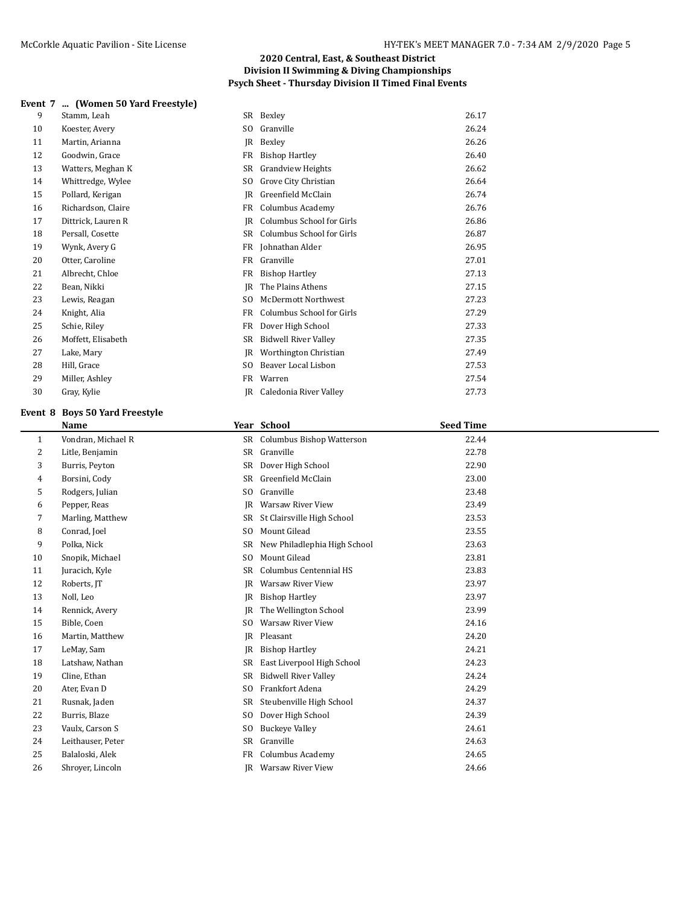#### **Event 7 ... (Women 50 Yard Freestyle)**

| Stamm, Leah        |                |                             | 26.17     |
|--------------------|----------------|-----------------------------|-----------|
| Koester, Avery     | SO.            | Granville                   | 26.24     |
| Martin, Arianna    | IR             | Bexley                      | 26.26     |
| Goodwin, Grace     | FR             | <b>Bishop Hartley</b>       | 26.40     |
| Watters, Meghan K  | SR             | <b>Grandview Heights</b>    | 26.62     |
| Whittredge, Wylee  | SO.            | Grove City Christian        | 26.64     |
| Pollard, Kerigan   | IR             | Greenfield McClain          | 26.74     |
| Richardson, Claire | FR             | Columbus Academy            | 26.76     |
| Dittrick, Lauren R | IR             | Columbus School for Girls   | 26.86     |
| Persall, Cosette   | SR.            | Columbus School for Girls   | 26.87     |
| Wynk, Avery G      | FR             | Johnathan Alder             | 26.95     |
| Otter, Caroline    | FR             | Granville                   | 27.01     |
| Albrecht, Chloe    | <b>FR</b>      | <b>Bishop Hartley</b>       | 27.13     |
| Bean, Nikki        | IR             | The Plains Athens           | 27.15     |
| Lewis, Reagan      | S <sub>O</sub> | <b>McDermott Northwest</b>  | 27.23     |
| Knight, Alia       | FR             | Columbus School for Girls   | 27.29     |
| Schie, Riley       | FR             | Dover High School           | 27.33     |
| Moffett, Elisabeth | SR             | <b>Bidwell River Valley</b> | 27.35     |
| Lake, Mary         | IR             | Worthington Christian       | 27.49     |
| Hill, Grace        | SO.            | Beaver Local Lisbon         | 27.53     |
| Miller, Ashley     | FR.            | Warren                      | 27.54     |
| Gray, Kylie        | IR             | Caledonia River Valley      | 27.73     |
|                    |                |                             | SR Bexley |

## **Event 8 Boys 50 Yard Freestyle**

|    | Name               |                | Year School                  | <b>Seed Time</b> |  |
|----|--------------------|----------------|------------------------------|------------------|--|
| 1  | Vondran, Michael R |                | SR Columbus Bishop Watterson | 22.44            |  |
| 2  | Litle, Benjamin    | SR             | Granville                    | 22.78            |  |
| 3  | Burris, Peyton     | SR             | Dover High School            | 22.90            |  |
| 4  | Borsini, Cody      | SR             | Greenfield McClain           | 23.00            |  |
| 5  | Rodgers, Julian    | SO.            | Granville                    | 23.48            |  |
| 6  | Pepper, Reas       | IR             | <b>Warsaw River View</b>     | 23.49            |  |
| 7  | Marling, Matthew   | SR             | St Clairsville High School   | 23.53            |  |
| 8  | Conrad, Joel       | SO.            | Mount Gilead                 | 23.55            |  |
| 9  | Polka, Nick        | <b>SR</b>      | New Philadlephia High School | 23.63            |  |
| 10 | Snopik, Michael    | S <sub>0</sub> | Mount Gilead                 | 23.81            |  |
| 11 | Juracich, Kyle     | SR             | Columbus Centennial HS       | 23.83            |  |
| 12 | Roberts, JT        | JR             | Warsaw River View            | 23.97            |  |
| 13 | Noll, Leo          | JR             | <b>Bishop Hartley</b>        | 23.97            |  |
| 14 | Rennick, Avery     | IR             | The Wellington School        | 23.99            |  |
| 15 | Bible, Coen        | S <sub>0</sub> | Warsaw River View            | 24.16            |  |
| 16 | Martin, Matthew    | JR             | Pleasant                     | 24.20            |  |
| 17 | LeMay, Sam         | JR             | <b>Bishop Hartley</b>        | 24.21            |  |
| 18 | Latshaw, Nathan    | SR             | East Liverpool High School   | 24.23            |  |
| 19 | Cline, Ethan       | SR             | <b>Bidwell River Valley</b>  | 24.24            |  |
| 20 | Ater, Evan D       | S <sub>0</sub> | Frankfort Adena              | 24.29            |  |
| 21 | Rusnak, Jaden      | SR             | Steubenville High School     | 24.37            |  |
| 22 | Burris, Blaze      | S <sub>0</sub> | Dover High School            | 24.39            |  |
| 23 | Vaulx, Carson S    | S <sub>0</sub> | <b>Buckeye Valley</b>        | 24.61            |  |
| 24 | Leithauser, Peter  | SR             | Granville                    | 24.63            |  |
| 25 | Balaloski, Alek    | FR             | Columbus Academy             | 24.65            |  |
| 26 | Shroyer, Lincoln   | IR             | Warsaw River View            | 24.66            |  |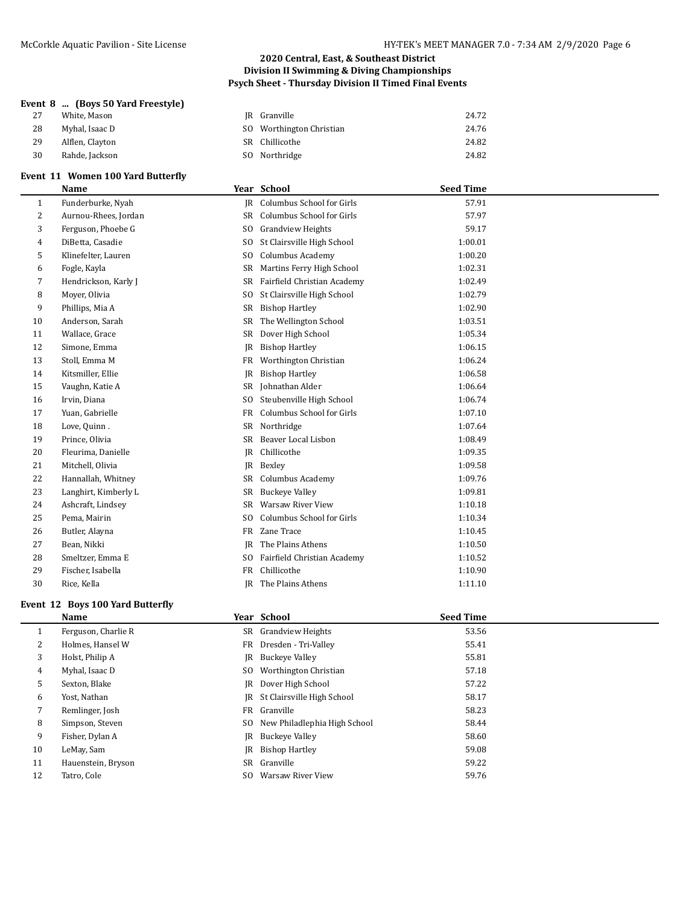## **Event 8 ... (Boys 50 Yard Freestyle)**

| 27 | White, Mason    | JR Granville             | 24.72 |
|----|-----------------|--------------------------|-------|
| 28 | Myhal, Isaac D  | SO Worthington Christian | 24.76 |
| 29 | Alflen, Clayton | SR Chillicothe           | 24.82 |
| 30 | Rahde, Jackson  | SO Northridge            | 24.82 |
|    |                 |                          |       |

# **Event 11 Women 100 Yard Butterfly**

|    | <b>Name</b>          |                | Year School                  | <b>Seed Time</b> |  |
|----|----------------------|----------------|------------------------------|------------------|--|
| 1  | Funderburke, Nyah    |                | IR Columbus School for Girls | 57.91            |  |
| 2  | Aurnou-Rhees, Jordan | <b>SR</b>      | Columbus School for Girls    | 57.97            |  |
| 3  | Ferguson, Phoebe G   | S <sub>0</sub> | <b>Grandview Heights</b>     | 59.17            |  |
| 4  | DiBetta, Casadie     | S <sub>0</sub> | St Clairsville High School   | 1:00.01          |  |
| 5  | Klinefelter, Lauren  | S <sub>0</sub> | Columbus Academy             | 1:00.20          |  |
| 6  | Fogle, Kayla         | SR             | Martins Ferry High School    | 1:02.31          |  |
| 7  | Hendrickson, Karly J | SR             | Fairfield Christian Academy  | 1:02.49          |  |
| 8  | Moyer, Olivia        | SO.            | St Clairsville High School   | 1:02.79          |  |
| 9  | Phillips, Mia A      | SR             | <b>Bishop Hartley</b>        | 1:02.90          |  |
| 10 | Anderson, Sarah      | SR             | The Wellington School        | 1:03.51          |  |
| 11 | Wallace, Grace       | SR             | Dover High School            | 1:05.34          |  |
| 12 | Simone, Emma         | JR             | <b>Bishop Hartley</b>        | 1:06.15          |  |
| 13 | Stoll, Emma M        | FR             | Worthington Christian        | 1:06.24          |  |
| 14 | Kitsmiller, Ellie    | JR             | <b>Bishop Hartley</b>        | 1:06.58          |  |
| 15 | Vaughn, Katie A      | SR             | Johnathan Alder              | 1:06.64          |  |
| 16 | Irvin, Diana         | SO.            | Steubenville High School     | 1:06.74          |  |
| 17 | Yuan, Gabrielle      | FR             | Columbus School for Girls    | 1:07.10          |  |
| 18 | Love, Quinn.         | SR             | Northridge                   | 1:07.64          |  |
| 19 | Prince, Olivia       | <b>SR</b>      | Beaver Local Lisbon          | 1:08.49          |  |
| 20 | Fleurima, Danielle   | JR             | Chillicothe                  | 1:09.35          |  |
| 21 | Mitchell, Olivia     | IR             | Bexley                       | 1:09.58          |  |
| 22 | Hannallah, Whitney   | SR             | Columbus Academy             | 1:09.76          |  |
| 23 | Langhirt, Kimberly L | SR             | <b>Buckeye Valley</b>        | 1:09.81          |  |
| 24 | Ashcraft, Lindsey    | SR             | <b>Warsaw River View</b>     | 1:10.18          |  |
| 25 | Pema, Mairin         | S <sub>0</sub> | Columbus School for Girls    | 1:10.34          |  |
| 26 | Butler, Alayna       | FR             | Zane Trace                   | 1:10.45          |  |
| 27 | Bean, Nikki          | R              | The Plains Athens            | 1:10.50          |  |
| 28 | Smeltzer, Emma E     | SO.            | Fairfield Christian Academy  | 1:10.52          |  |
| 29 | Fischer, Isabella    | FR             | Chillicothe                  | 1:10.90          |  |
| 30 | Rice, Kella          | IR             | The Plains Athens            | 1:11.10          |  |

## **Event 12 Boys 100 Yard Butterfly**

|         | Name                |     | Year School                     | <b>Seed Time</b> |
|---------|---------------------|-----|---------------------------------|------------------|
| $\perp$ | Ferguson, Charlie R |     | SR Grandview Heights            | 53.56            |
| 2       | Holmes, Hansel W    |     | FR Dresden - Tri-Valley         | 55.41            |
| 3       | Holst, Philip A     | IR  | <b>Buckeye Valley</b>           | 55.81            |
| 4       | Myhal, Isaac D      | SO. | Worthington Christian           | 57.18            |
| 5       | Sexton, Blake       |     | <b>IR</b> Dover High School     | 57.22            |
| 6       | Yost, Nathan        |     | JR St Clairsville High School   | 58.17            |
|         | Remlinger, Josh     |     | FR Granville                    | 58.23            |
| 8       | Simpson, Steven     |     | SO New Philadlephia High School | 58.44            |
| 9       | Fisher, Dylan A     |     | JR Buckeye Valley               | 58.60            |
| 10      | LeMay, Sam          |     | <b>IR</b> Bishop Hartley        | 59.08            |
| 11      | Hauenstein, Bryson  |     | SR Granville                    | 59.22            |
| 12      | Tatro, Cole         | SO. | Warsaw River View               | 59.76            |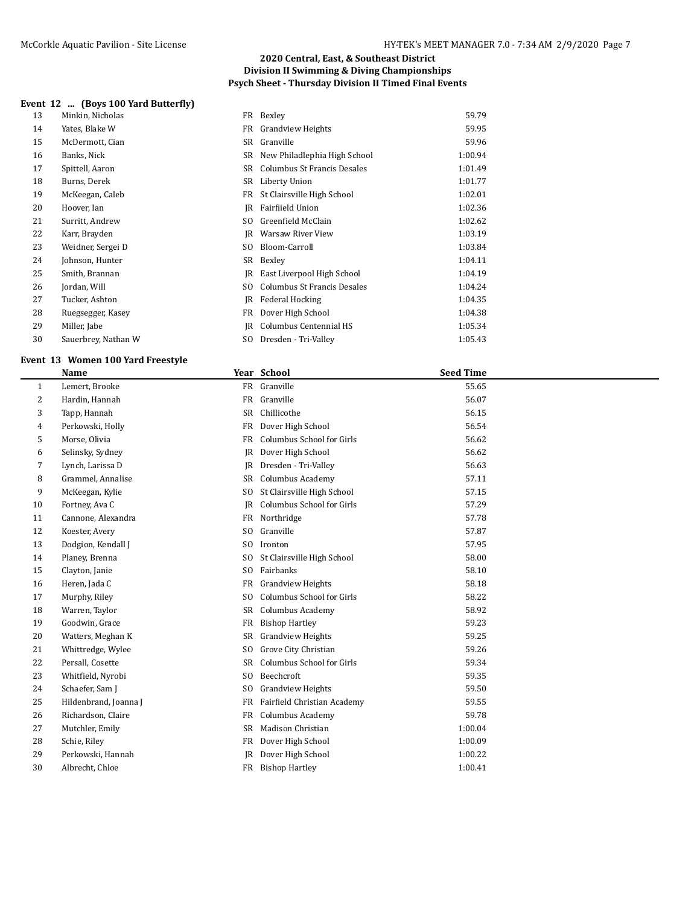## **Event 12 ... (Boys 100 Yard Butterfly)**

| 13 | Minkin, Nicholas    |     | FR Bexley                    | 59.79   |
|----|---------------------|-----|------------------------------|---------|
| 14 | Yates, Blake W      | FR  | <b>Grandview Heights</b>     | 59.95   |
| 15 | McDermott, Cian     | SR  | Granville                    | 59.96   |
| 16 | Banks, Nick         | SR  | New Philadlephia High School | 1:00.94 |
| 17 | Spittell, Aaron     | SR  | Columbus St Francis Desales  | 1:01.49 |
| 18 | Burns, Derek        | SR  | Liberty Union                | 1:01.77 |
| 19 | McKeegan, Caleb     | FR  | St Clairsville High School   | 1:02.01 |
| 20 | Hoover, Ian         | IR  | Fairfiield Union             | 1:02.36 |
| 21 | Surritt, Andrew     | SO. | Greenfield McClain           | 1:02.62 |
| 22 | Karr, Brayden       | IR  | Warsaw River View            | 1:03.19 |
| 23 | Weidner, Sergei D   | SO. | Bloom-Carroll                | 1:03.84 |
| 24 | Johnson, Hunter     | SR  | Bexley                       | 1:04.11 |
| 25 | Smith, Brannan      | IR  | East Liverpool High School   | 1:04.19 |
| 26 | Jordan, Will        | SO. | Columbus St Francis Desales  | 1:04.24 |
| 27 | Tucker, Ashton      | IR  | Federal Hocking              | 1:04.35 |
| 28 | Ruegsegger, Kasey   | FR  | Dover High School            | 1:04.38 |
| 29 | Miller, Jabe        | IR  | Columbus Centennial HS       | 1:05.34 |
| 30 | Sauerbrey, Nathan W | SO. | Dresden - Tri-Valley         | 1:05.43 |
|    |                     |     |                              |         |

# **Event 13 Women 100 Yard Freestyle**

|              | <b>Name</b>           |                | Year School                 | <b>Seed Time</b> |  |
|--------------|-----------------------|----------------|-----------------------------|------------------|--|
| $\mathbf{1}$ | Lemert, Brooke        |                | FR Granville                | 55.65            |  |
| 2            | Hardin, Hannah        | FR             | Granville                   | 56.07            |  |
| 3            | Tapp, Hannah          | <b>SR</b>      | Chillicothe                 | 56.15            |  |
| 4            | Perkowski, Holly      | FR             | Dover High School           | 56.54            |  |
| 5            | Morse, Olivia         | FR             | Columbus School for Girls   | 56.62            |  |
| 6            | Selinsky, Sydney      | <b>IR</b>      | Dover High School           | 56.62            |  |
| 7            | Lynch, Larissa D      | JR             | Dresden - Tri-Valley        | 56.63            |  |
| 8            | Grammel, Annalise     | <b>SR</b>      | Columbus Academy            | 57.11            |  |
| 9            | McKeegan, Kylie       | S <sub>0</sub> | St Clairsville High School  | 57.15            |  |
| 10           | Fortney, Ava C        | JR             | Columbus School for Girls   | 57.29            |  |
| 11           | Cannone, Alexandra    | FR             | Northridge                  | 57.78            |  |
| 12           | Koester, Avery        | S <sub>0</sub> | Granville                   | 57.87            |  |
| 13           | Dodgion, Kendall J    | S <sub>0</sub> | Ironton                     | 57.95            |  |
| 14           | Planey, Brenna        | S <sub>0</sub> | St Clairsville High School  | 58.00            |  |
| 15           | Clayton, Janie        | S <sub>0</sub> | Fairbanks                   | 58.10            |  |
| 16           | Heren, Jada C         | <b>FR</b>      | <b>Grandview Heights</b>    | 58.18            |  |
| 17           | Murphy, Riley         | S <sub>0</sub> | Columbus School for Girls   | 58.22            |  |
| 18           | Warren, Taylor        | <b>SR</b>      | Columbus Academy            | 58.92            |  |
| 19           | Goodwin, Grace        | FR             | <b>Bishop Hartley</b>       | 59.23            |  |
| 20           | Watters, Meghan K     | SR             | <b>Grandview Heights</b>    | 59.25            |  |
| 21           | Whittredge, Wylee     | S <sub>0</sub> | Grove City Christian        | 59.26            |  |
| 22           | Persall, Cosette      | SR             | Columbus School for Girls   | 59.34            |  |
| 23           | Whitfield, Nyrobi     | S <sub>0</sub> | Beechcroft                  | 59.35            |  |
| 24           | Schaefer, Sam J       | S <sub>0</sub> | <b>Grandview Heights</b>    | 59.50            |  |
| 25           | Hildenbrand, Joanna J | FR             | Fairfield Christian Academy | 59.55            |  |
| 26           | Richardson, Claire    | FR             | Columbus Academy            | 59.78            |  |
| 27           | Mutchler, Emily       | SR             | Madison Christian           | 1:00.04          |  |
| 28           | Schie, Riley          | <b>FR</b>      | Dover High School           | 1:00.09          |  |
| 29           | Perkowski, Hannah     | IR             | Dover High School           | 1:00.22          |  |
| 30           | Albrecht, Chloe       |                | FR Bishop Hartley           | 1:00.41          |  |
|              |                       |                |                             |                  |  |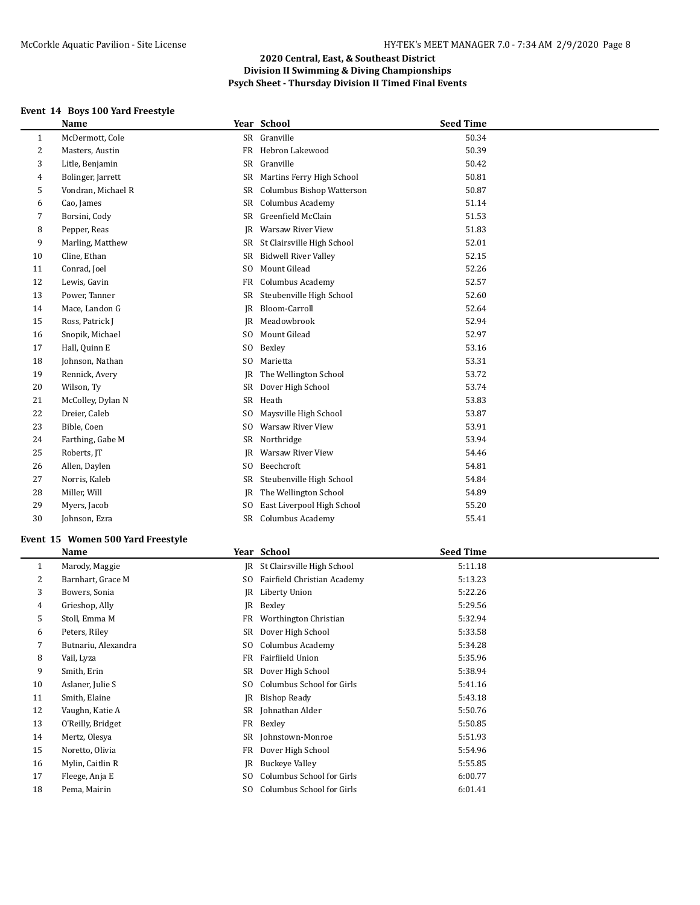# **Event 14 Boys 100 Yard Freestyle**

|    | Name               |                | Year School                      | <b>Seed Time</b> |
|----|--------------------|----------------|----------------------------------|------------------|
| 1  | McDermott, Cole    |                | SR Granville                     | 50.34            |
| 2  | Masters, Austin    | FR             | Hebron Lakewood                  | 50.39            |
| 3  | Litle, Benjamin    | SR             | Granville                        | 50.42            |
| 4  | Bolinger, Jarrett  | SR             | Martins Ferry High School        | 50.81            |
| 5  | Vondran, Michael R | <b>SR</b>      | <b>Columbus Bishop Watterson</b> | 50.87            |
| 6  | Cao, James         | SR             | Columbus Academy                 | 51.14            |
| 7  | Borsini, Cody      | SR             | Greenfield McClain               | 51.53            |
| 8  | Pepper, Reas       | JR             | Warsaw River View                | 51.83            |
| 9  | Marling, Matthew   | SR             | St Clairsville High School       | 52.01            |
| 10 | Cline, Ethan       | SR             | <b>Bidwell River Valley</b>      | 52.15            |
| 11 | Conrad, Joel       | S <sub>0</sub> | Mount Gilead                     | 52.26            |
| 12 | Lewis, Gavin       | FR             | Columbus Academy                 | 52.57            |
| 13 | Power, Tanner      | <b>SR</b>      | Steubenville High School         | 52.60            |
| 14 | Mace, Landon G     | JR             | Bloom-Carroll                    | 52.64            |
| 15 | Ross, Patrick J    | IR             | Meadowbrook                      | 52.94            |
| 16 | Snopik, Michael    | S <sub>0</sub> | Mount Gilead                     | 52.97            |
| 17 | Hall, Quinn E      | S <sub>0</sub> | Bexley                           | 53.16            |
| 18 | Johnson, Nathan    | S <sub>0</sub> | Marietta                         | 53.31            |
| 19 | Rennick, Avery     | JR             | The Wellington School            | 53.72            |
| 20 | Wilson, Ty         | SR             | Dover High School                | 53.74            |
| 21 | McColley, Dylan N  | SR             | Heath                            | 53.83            |
| 22 | Dreier, Caleb      | S <sub>0</sub> | Maysville High School            | 53.87            |
| 23 | Bible, Coen        | S <sub>0</sub> | <b>Warsaw River View</b>         | 53.91            |
| 24 | Farthing, Gabe M   | SR             | Northridge                       | 53.94            |
| 25 | Roberts, JT        | JR             | Warsaw River View                | 54.46            |
| 26 | Allen, Daylen      | S <sub>0</sub> | Beechcroft                       | 54.81            |
| 27 | Norris, Kaleb      | SR             | Steubenville High School         | 54.84            |
| 28 | Miller, Will       | JR             | The Wellington School            | 54.89            |
| 29 | Myers, Jacob       | S <sub>0</sub> | East Liverpool High School       | 55.20            |
| 30 | Johnson, Ezra      |                | SR Columbus Academy              | 55.41            |
|    |                    |                |                                  |                  |

## **Event 15 Women 500 Yard Freestyle**

|    | Name                |                | Year School                   | <b>Seed Time</b> |  |
|----|---------------------|----------------|-------------------------------|------------------|--|
| 1  | Marody, Maggie      |                | JR St Clairsville High School | 5:11.18          |  |
| 2  | Barnhart, Grace M   | SO.            | Fairfield Christian Academy   | 5:13.23          |  |
| 3  | Bowers, Sonia       |                | JR Liberty Union              | 5:22.26          |  |
| 4  | Grieshop, Ally      | IR             | Bexley                        | 5:29.56          |  |
| 5  | Stoll, Emma M       | FR             | Worthington Christian         | 5:32.94          |  |
| 6  | Peters, Riley       | SR             | Dover High School             | 5:33.58          |  |
| 7  | Butnariu, Alexandra | SO.            | Columbus Academy              | 5:34.28          |  |
| 8  | Vail, Lyza          | FR             | Fairfiield Union              | 5:35.96          |  |
| 9  | Smith, Erin         | SR             | Dover High School             | 5:38.94          |  |
| 10 | Aslaner, Julie S    | SO.            | Columbus School for Girls     | 5:41.16          |  |
| 11 | Smith, Elaine       | IR             | <b>Bishop Ready</b>           | 5:43.18          |  |
| 12 | Vaughn, Katie A     | SR             | Johnathan Alder               | 5:50.76          |  |
| 13 | O'Reilly, Bridget   | FR             | Bexley                        | 5:50.85          |  |
| 14 | Mertz, Olesya       | SR             | Johnstown-Monroe              | 5:51.93          |  |
| 15 | Noretto, Olivia     | FR             | Dover High School             | 5:54.96          |  |
| 16 | Mylin, Caitlin R    | JR             | Buckeye Valley                | 5:55.85          |  |
| 17 | Fleege, Anja E      | SO.            | Columbus School for Girls     | 6:00.77          |  |
| 18 | Pema, Mairin        | S <sub>0</sub> | Columbus School for Girls     | 6:01.41          |  |
|    |                     |                |                               |                  |  |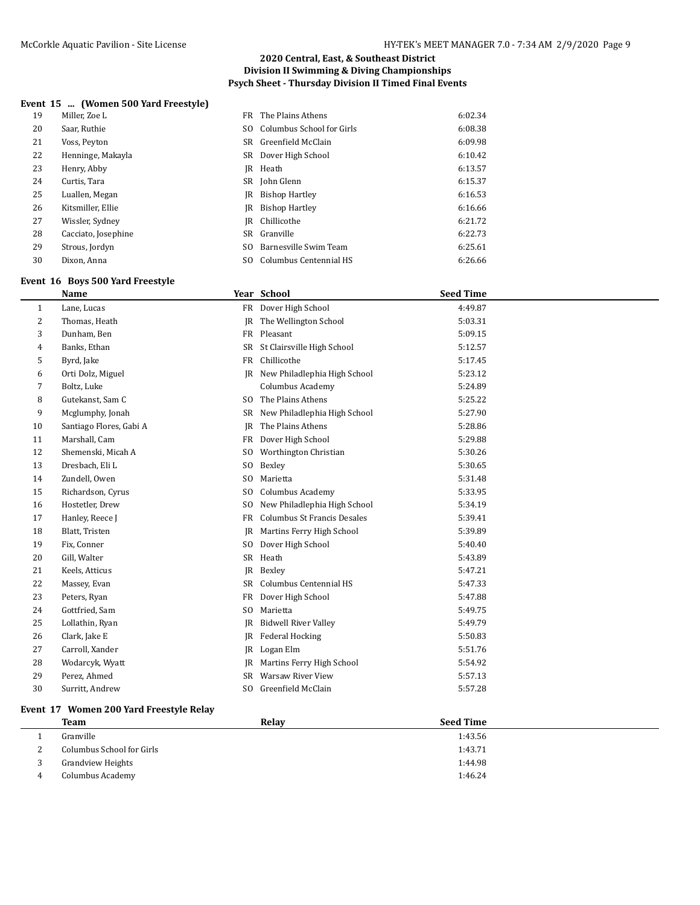## **Event 15 ... (Women 500 Yard Freestyle)**

| 19 | Miller, Zoe L       |     | FR The Plains Athens      | 6:02.34 |
|----|---------------------|-----|---------------------------|---------|
| 20 | Saar, Ruthie        | SO. | Columbus School for Girls | 6:08.38 |
| 21 | Voss, Peyton        |     | SR Greenfield McClain     | 6:09.98 |
| 22 | Henninge, Makayla   |     | SR Dover High School      | 6:10.42 |
| 23 | Henry, Abby         |     | JR Heath                  | 6:13.57 |
| 24 | Curtis, Tara        |     | SR John Glenn             | 6:15.37 |
| 25 | Luallen, Megan      |     | <b>IR</b> Bishop Hartley  | 6:16.53 |
| 26 | Kitsmiller. Ellie   |     | JR Bishop Hartley         | 6:16.66 |
| 27 | Wissler, Sydney     |     | IR Chillicothe            | 6:21.72 |
| 28 | Cacciato, Josephine |     | SR Granville              | 6:22.73 |
| 29 | Strous, Jordyn      | SO. | Barnesville Swim Team     | 6:25.61 |
| 30 | Dixon. Anna         | SO. | Columbus Centennial HS    | 6:26.66 |

#### **Event 16 Boys 500 Yard Freestyle**

## **Event 17 Women 200 Yard Freestyle Relay**

|          | Team                      | Relav | <b>Seed Time</b> |
|----------|---------------------------|-------|------------------|
|          | Granville                 |       | 1:43.56          |
| <u>.</u> | Columbus School for Girls |       | 1:43.71          |
|          | <b>Grandview Heights</b>  |       | 1:44.98          |
|          | Columbus Academy          |       | 1:46.24          |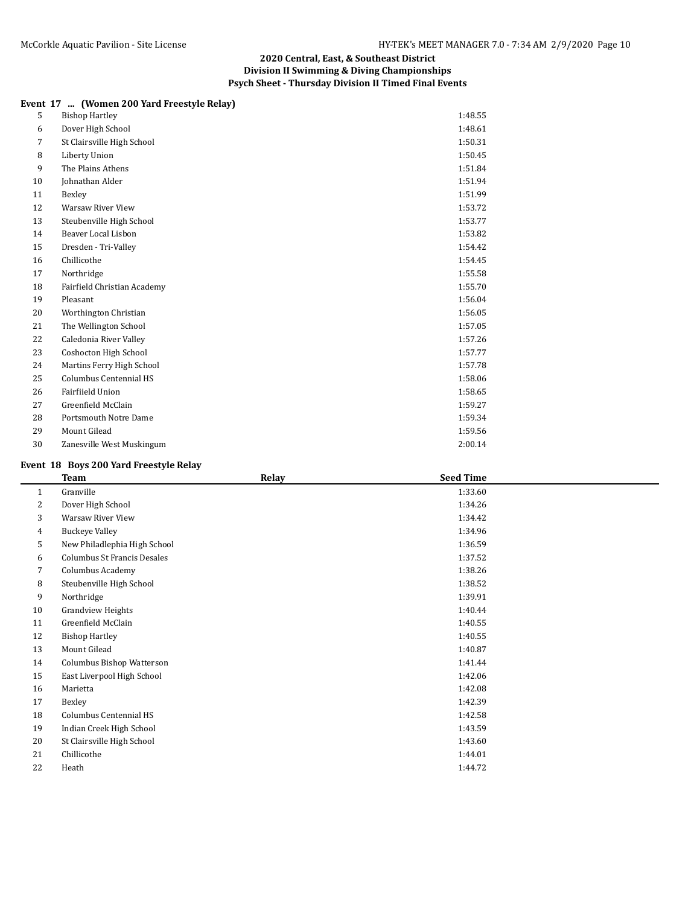## **Event 17 ... (Women 200 Yard Freestyle Relay)**

| 5  | <b>Bishop Hartley</b>       | 1:48.55 |
|----|-----------------------------|---------|
| 6  | Dover High School           | 1:48.61 |
| 7  | St Clairsville High School  | 1:50.31 |
| 8  | Liberty Union               | 1:50.45 |
| 9  | The Plains Athens           | 1:51.84 |
| 10 | Johnathan Alder             | 1:51.94 |
| 11 | Bexley                      | 1:51.99 |
| 12 | <b>Warsaw River View</b>    | 1:53.72 |
| 13 | Steubenville High School    | 1:53.77 |
| 14 | Beaver Local Lisbon         | 1:53.82 |
| 15 | Dresden - Tri-Valley        | 1:54.42 |
| 16 | Chillicothe                 | 1:54.45 |
| 17 | Northridge                  | 1:55.58 |
| 18 | Fairfield Christian Academy | 1:55.70 |
| 19 | Pleasant                    | 1:56.04 |
| 20 | Worthington Christian       | 1:56.05 |
| 21 | The Wellington School       | 1:57.05 |
| 22 | Caledonia River Valley      | 1:57.26 |
| 23 | Coshocton High School       | 1:57.77 |
| 24 | Martins Ferry High School   | 1:57.78 |
| 25 | Columbus Centennial HS      | 1:58.06 |
| 26 | Fairfiield Union            | 1:58.65 |
| 27 | Greenfield McClain          | 1:59.27 |
| 28 | Portsmouth Notre Dame       | 1:59.34 |
| 29 | Mount Gilead                | 1:59.56 |
| 30 | Zanesville West Muskingum   | 2:00.14 |
|    |                             |         |

## **Event 18 Boys 200 Yard Freestyle Relay**

|              | <b>Team</b>                        | Relay | <b>Seed Time</b> |  |
|--------------|------------------------------------|-------|------------------|--|
| $\mathbf{1}$ | Granville                          |       | 1:33.60          |  |
| 2            | Dover High School                  |       | 1:34.26          |  |
| 3            | Warsaw River View                  |       | 1:34.42          |  |
| 4            | <b>Buckeye Valley</b>              |       | 1:34.96          |  |
| 5            | New Philadlephia High School       |       | 1:36.59          |  |
| 6            | <b>Columbus St Francis Desales</b> |       | 1:37.52          |  |
| 7            | Columbus Academy                   |       | 1:38.26          |  |
| 8            | Steubenville High School           |       | 1:38.52          |  |
| 9            | Northridge                         |       | 1:39.91          |  |
| 10           | <b>Grandview Heights</b>           |       | 1:40.44          |  |
| 11           | Greenfield McClain                 |       | 1:40.55          |  |
| 12           | <b>Bishop Hartley</b>              |       | 1:40.55          |  |
| 13           | Mount Gilead                       |       | 1:40.87          |  |
| 14           | Columbus Bishop Watterson          |       | 1:41.44          |  |
| 15           | East Liverpool High School         |       | 1:42.06          |  |
| 16           | Marietta                           |       | 1:42.08          |  |
| 17           | Bexley                             |       | 1:42.39          |  |
| 18           | Columbus Centennial HS             |       | 1:42.58          |  |
| 19           | Indian Creek High School           |       | 1:43.59          |  |
| 20           | St Clairsville High School         |       | 1:43.60          |  |
| 21           | Chillicothe                        |       | 1:44.01          |  |
| 22           | Heath                              |       | 1:44.72          |  |
|              |                                    |       |                  |  |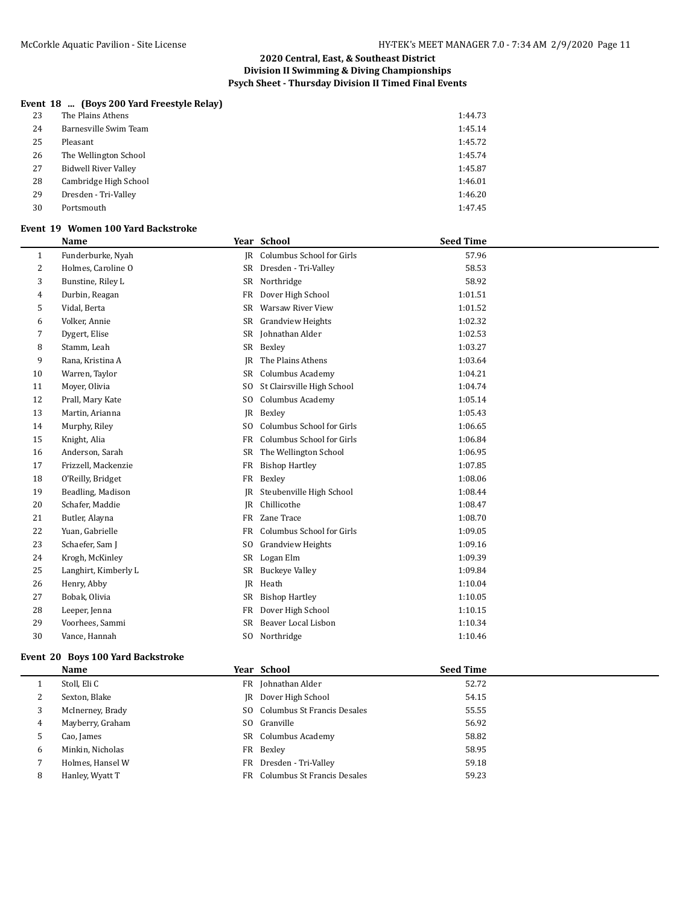## **Event 18 ... (Boys 200 Yard Freestyle Relay)**

| 23 | The Plains Athens           | 1:44.73 |
|----|-----------------------------|---------|
| 24 | Barnesville Swim Team       | 1:45.14 |
| 25 | Pleasant                    | 1:45.72 |
| 26 | The Wellington School       | 1:45.74 |
| 27 | <b>Bidwell River Valley</b> | 1:45.87 |
| 28 | Cambridge High School       | 1:46.01 |
| 29 | Dresden - Tri-Valley        | 1:46.20 |
| 30 | Portsmouth                  | 1:47.45 |

#### **Event 19 Women 100 Yard Backstroke**

|              | Name                 |                | Year School                | <b>Seed Time</b> |
|--------------|----------------------|----------------|----------------------------|------------------|
| $\mathbf{1}$ | Funderburke, Nyah    | IR             | Columbus School for Girls  | 57.96            |
| 2            | Holmes, Caroline O   | SR             | Dresden - Tri-Valley       | 58.53            |
| 3            | Bunstine, Riley L    | SR             | Northridge                 | 58.92            |
| 4            | Durbin, Reagan       | FR             | Dover High School          | 1:01.51          |
| 5            | Vidal, Berta         | SR             | Warsaw River View          | 1:01.52          |
| 6            | Volker, Annie        | SR             | <b>Grandview Heights</b>   | 1:02.32          |
| 7            | Dygert, Elise        | SR             | Johnathan Alder            | 1:02.53          |
| 8            | Stamm, Leah          | SR             | Bexley                     | 1:03.27          |
| 9            | Rana, Kristina A     | JR             | The Plains Athens          | 1:03.64          |
| 10           | Warren, Taylor       | SR             | Columbus Academy           | 1:04.21          |
| 11           | Moyer, Olivia        | SO.            | St Clairsville High School | 1:04.74          |
| 12           | Prall, Mary Kate     | S <sub>0</sub> | Columbus Academy           | 1:05.14          |
| 13           | Martin, Arianna      | IR             | Bexley                     | 1:05.43          |
| 14           | Murphy, Riley        | S <sub>O</sub> | Columbus School for Girls  | 1:06.65          |
| 15           | Knight, Alia         | FR             | Columbus School for Girls  | 1:06.84          |
| 16           | Anderson, Sarah      | SR             | The Wellington School      | 1:06.95          |
| 17           | Frizzell, Mackenzie  | FR             | <b>Bishop Hartley</b>      | 1:07.85          |
| 18           | O'Reilly, Bridget    | FR             | Bexley                     | 1:08.06          |
| 19           | Beadling, Madison    | JR             | Steubenville High School   | 1:08.44          |
| 20           | Schafer, Maddie      | R              | Chillicothe                | 1:08.47          |
| 21           | Butler, Alayna       | FR             | Zane Trace                 | 1:08.70          |
| 22           | Yuan, Gabrielle      | FR             | Columbus School for Girls  | 1:09.05          |
| 23           | Schaefer, Sam J      | S <sub>0</sub> | <b>Grandview Heights</b>   | 1:09.16          |
| 24           | Krogh, McKinley      | SR             | Logan Elm                  | 1:09.39          |
| 25           | Langhirt, Kimberly L | SR             | <b>Buckeye Valley</b>      | 1:09.84          |
| 26           | Henry, Abby          | IR             | Heath                      | 1:10.04          |
| 27           | Bobak, Olivia        | SR             | <b>Bishop Hartley</b>      | 1:10.05          |
| 28           | Leeper, Jenna        | FR             | Dover High School          | 1:10.15          |
| 29           | Voorhees, Sammi      | SR             | Beaver Local Lisbon        | 1:10.34          |
| 30           | Vance, Hannah        |                | SO Northridge              | 1:10.46          |
|              |                      |                |                            |                  |

#### **Event 20 Boys 100 Yard Backstroke**

|   | Name             | Year School                    | <b>Seed Time</b> |
|---|------------------|--------------------------------|------------------|
|   | Stoll, Eli C     | FR Johnathan Alder             | 52.72            |
| ∠ | Sexton, Blake    | <b>IR</b> Dover High School    | 54.15            |
| 3 | McInerney, Brady | SO Columbus St Francis Desales | 55.55            |
| 4 | Mayberry, Graham | SO Granville                   | 56.92            |
| 5 | Cao, James       | SR Columbus Academy            | 58.82            |
| 6 | Minkin, Nicholas | FR Bexley                      | 58.95            |
|   | Holmes, Hansel W | FR Dresden - Tri-Valley        | 59.18            |
| 8 | Hanley, Wyatt T  | FR Columbus St Francis Desales | 59.23            |
|   |                  |                                |                  |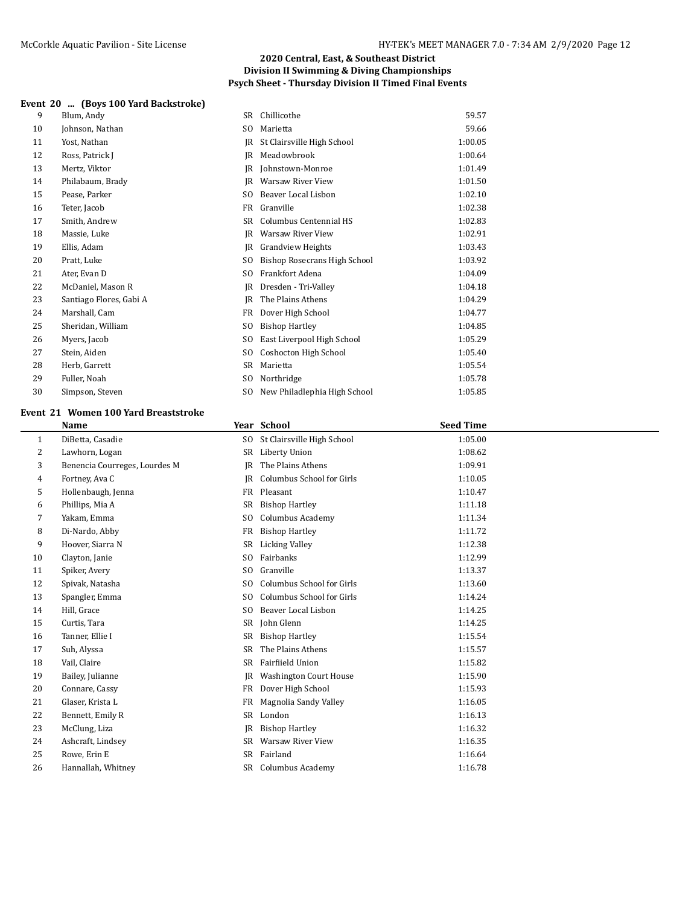#### **Event 20 ... (Boys 100 Yard Backstroke)**

| 9  | Blum, Andy              | SR             | Chillicothe                  | 59.57   |
|----|-------------------------|----------------|------------------------------|---------|
| 10 | Johnson, Nathan         | SO.            | Marietta                     | 59.66   |
| 11 | Yost, Nathan            | IR             | St Clairsville High School   | 1:00.05 |
| 12 | Ross, Patrick J         | IR             | Meadowbrook                  | 1:00.64 |
| 13 | Mertz, Viktor           | IR             | Johnstown-Monroe             | 1:01.49 |
| 14 | Philabaum, Brady        | IR             | Warsaw River View            | 1:01.50 |
| 15 | Pease, Parker           | S <sub>O</sub> | Beaver Local Lisbon          | 1:02.10 |
| 16 | Teter, Jacob            | <b>FR</b>      | Granville                    | 1:02.38 |
| 17 | Smith, Andrew           | SR             | Columbus Centennial HS       | 1:02.83 |
| 18 | Massie, Luke            | IR             | Warsaw River View            | 1:02.91 |
| 19 | Ellis, Adam             | IR             | <b>Grandview Heights</b>     | 1:03.43 |
| 20 | Pratt, Luke             | S <sub>0</sub> | Bishop Rosecrans High School | 1:03.92 |
| 21 | Ater, Evan D            | SO.            | Frankfort Adena              | 1:04.09 |
| 22 | McDaniel, Mason R       | IR             | Dresden - Tri-Valley         | 1:04.18 |
| 23 | Santiago Flores, Gabi A | IR             | The Plains Athens            | 1:04.29 |
| 24 | Marshall, Cam           | FR             | Dover High School            | 1:04.77 |
| 25 | Sheridan, William       | S <sub>0</sub> | <b>Bishop Hartley</b>        | 1:04.85 |
| 26 | Myers, Jacob            | SO.            | East Liverpool High School   | 1:05.29 |
| 27 | Stein, Aiden            | S <sub>0</sub> | Coshocton High School        | 1:05.40 |
| 28 | Herb, Garrett           | <b>SR</b>      | Marietta                     | 1:05.54 |
| 29 | Fuller, Noah            | SO.            | Northridge                   | 1:05.78 |
| 30 | Simpson, Steven         | SO.            | New Philadlephia High School | 1:05.85 |

#### **Event 21 Women 100 Yard Breaststroke**

|              | Name                          |                | Year School                   | <b>Seed Time</b> |  |
|--------------|-------------------------------|----------------|-------------------------------|------------------|--|
| $\mathbf{1}$ | DiBetta, Casadie              | SO.            | St Clairsville High School    | 1:05.00          |  |
| 2            | Lawhorn, Logan                | SR             | Liberty Union                 | 1:08.62          |  |
| 3            | Benencia Courreges, Lourdes M | IR             | The Plains Athens             | 1:09.91          |  |
| 4            | Fortney, Ava C                | IR             | Columbus School for Girls     | 1:10.05          |  |
| 5            | Hollenbaugh, Jenna            | FR             | Pleasant                      | 1:10.47          |  |
| 6            | Phillips, Mia A               | SR             | <b>Bishop Hartley</b>         | 1:11.18          |  |
| 7            | Yakam, Emma                   | S <sub>O</sub> | Columbus Academy              | 1:11.34          |  |
| 8            | Di-Nardo, Abby                | FR             | <b>Bishop Hartley</b>         | 1:11.72          |  |
| 9            | Hoover, Siarra N              | SR             | <b>Licking Valley</b>         | 1:12.38          |  |
| 10           | Clayton, Janie                | SO.            | Fairbanks                     | 1:12.99          |  |
| 11           | Spiker, Avery                 | S <sub>0</sub> | Granville                     | 1:13.37          |  |
| 12           | Spivak, Natasha               | S <sub>0</sub> | Columbus School for Girls     | 1:13.60          |  |
| 13           | Spangler, Emma                | SO.            | Columbus School for Girls     | 1:14.24          |  |
| 14           | Hill, Grace                   | S <sub>0</sub> | Beaver Local Lisbon           | 1:14.25          |  |
| 15           | Curtis, Tara                  | SR             | John Glenn                    | 1:14.25          |  |
| 16           | Tanner, Ellie I               | SR             | <b>Bishop Hartley</b>         | 1:15.54          |  |
| 17           | Suh, Alyssa                   | SR             | The Plains Athens             | 1:15.57          |  |
| 18           | Vail, Claire                  | SR             | <b>Fairfiield Union</b>       | 1:15.82          |  |
| 19           | Bailey, Julianne              | IR             | <b>Washington Court House</b> | 1:15.90          |  |
| 20           | Connare, Cassy                | FR             | Dover High School             | 1:15.93          |  |
| 21           | Glaser, Krista L              | FR             | Magnolia Sandy Valley         | 1:16.05          |  |
| 22           | Bennett, Emily R              | <b>SR</b>      | London                        | 1:16.13          |  |
| 23           | McClung, Liza                 | IR             | <b>Bishop Hartley</b>         | 1:16.32          |  |
| 24           | Ashcraft, Lindsey             | SR             | <b>Warsaw River View</b>      | 1:16.35          |  |
| 25           | Rowe, Erin E                  | SR             | Fairland                      | 1:16.64          |  |
| 26           | Hannallah, Whitney            | SR             | Columbus Academy              | 1:16.78          |  |
|              |                               |                |                               |                  |  |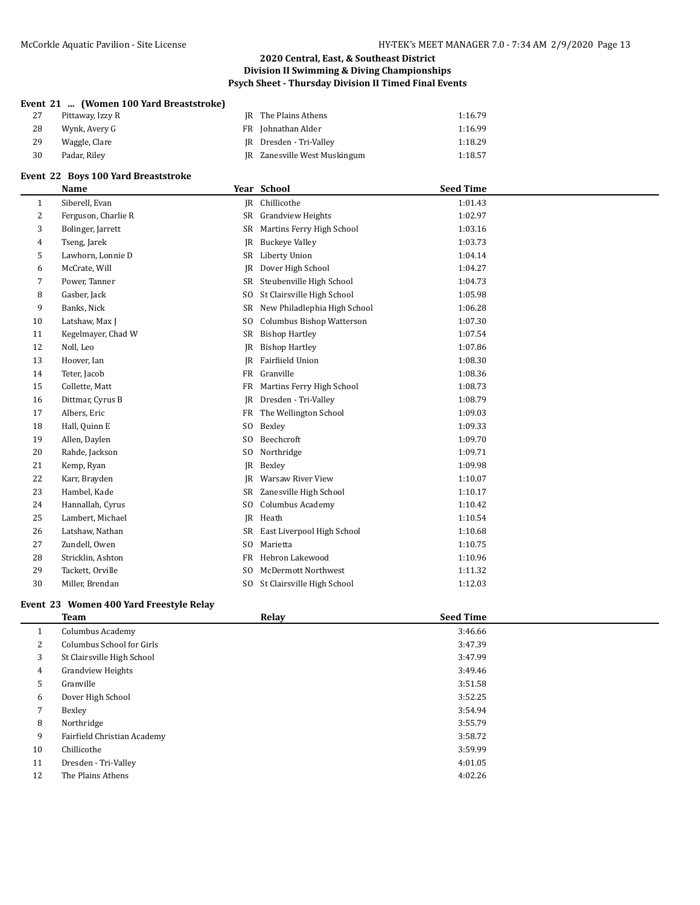## **Event 21 ... (Women 100 Yard Breaststroke)**

| 27 | Pittaway, Izzy R | JR The Plains Athens         | 1:16.79 |
|----|------------------|------------------------------|---------|
| 28 | Wynk, Avery G    | FR Johnathan Alder           | 1:16.99 |
| 29 | Waggle, Clare    | JR Dresden - Tri-Valley      | 1:18.29 |
| 30 | Padar, Rilev     | JR Zanesville West Muskingum | 1:18.57 |

# **Event 22 Boys 100 Yard Breaststroke**

|    | Name                |                | Year School                   | <b>Seed Time</b> |  |
|----|---------------------|----------------|-------------------------------|------------------|--|
| 1  | Siberell, Evan      | IR             | Chillicothe                   | 1:01.43          |  |
| 2  | Ferguson, Charlie R | SR             | <b>Grandview Heights</b>      | 1:02.97          |  |
| 3  | Bolinger, Jarrett   | SR             | Martins Ferry High School     | 1:03.16          |  |
| 4  | Tseng, Jarek        | JR             | <b>Buckeye Valley</b>         | 1:03.73          |  |
| 5  | Lawhorn, Lonnie D   | SR             | Liberty Union                 | 1:04.14          |  |
| 6  | McCrate, Will       | JR             | Dover High School             | 1:04.27          |  |
| 7  | Power, Tanner       | SR             | Steubenville High School      | 1:04.73          |  |
| 8  | Gasber, Jack        | S <sub>0</sub> | St Clairsville High School    | 1:05.98          |  |
| 9  | Banks, Nick         | SR             | New Philadlephia High School  | 1:06.28          |  |
| 10 | Latshaw, Max J      | SO.            | Columbus Bishop Watterson     | 1:07.30          |  |
| 11 | Kegelmayer, Chad W  | SR             | <b>Bishop Hartley</b>         | 1:07.54          |  |
| 12 | Noll, Leo           | JR             | <b>Bishop Hartley</b>         | 1:07.86          |  |
| 13 | Hoover, Ian         | JR             | Fairfiield Union              | 1:08.30          |  |
| 14 | Teter, Jacob        | FR             | Granville                     | 1:08.36          |  |
| 15 | Collette, Matt      | FR             | Martins Ferry High School     | 1:08.73          |  |
| 16 | Dittmar, Cyrus B    | IR             | Dresden - Tri-Valley          | 1:08.79          |  |
| 17 | Albers, Eric        | FR             | The Wellington School         | 1:09.03          |  |
| 18 | Hall, Quinn E       | SO.            | Bexley                        | 1:09.33          |  |
| 19 | Allen, Daylen       | SO.            | Beechcroft                    | 1:09.70          |  |
| 20 | Rahde, Jackson      | SO.            | Northridge                    | 1:09.71          |  |
| 21 | Kemp, Ryan          | IR             | Bexley                        | 1:09.98          |  |
| 22 | Karr, Brayden       | IR             | Warsaw River View             | 1:10.07          |  |
| 23 | Hambel, Kade        | SR             | Zanesville High School        | 1:10.17          |  |
| 24 | Hannallah, Cyrus    | SO.            | Columbus Academy              | 1:10.42          |  |
| 25 | Lambert, Michael    | IR             | Heath                         | 1:10.54          |  |
| 26 | Latshaw, Nathan     | SR             | East Liverpool High School    | 1:10.68          |  |
| 27 | Zundell, Owen       | SO.            | Marietta                      | 1:10.75          |  |
| 28 | Stricklin, Ashton   | FR             | Hebron Lakewood               | 1:10.96          |  |
| 29 | Tackett, Orville    | SO.            | <b>McDermott Northwest</b>    | 1:11.32          |  |
| 30 | Miller, Brendan     |                | SO St Clairsville High School | 1:12.03          |  |
|    |                     |                |                               |                  |  |

# **Event 23 Women 400 Yard Freestyle Relay**

|    | Team                        | Relay | <b>Seed Time</b> |  |
|----|-----------------------------|-------|------------------|--|
|    | Columbus Academy            |       | 3:46.66          |  |
| 2  | Columbus School for Girls   |       | 3:47.39          |  |
| 3  | St Clairsville High School  |       | 3:47.99          |  |
| 4  | Grandview Heights           |       | 3:49.46          |  |
| 5  | Granville                   |       | 3:51.58          |  |
| 6  | Dover High School           |       | 3:52.25          |  |
| 7  | Bexley                      |       | 3:54.94          |  |
| 8  | Northridge                  |       | 3:55.79          |  |
| 9  | Fairfield Christian Academy |       | 3:58.72          |  |
| 10 | Chillicothe                 |       | 3:59.99          |  |
| 11 | Dresden - Tri-Valley        |       | 4:01.05          |  |
| 12 | The Plains Athens           |       | 4:02.26          |  |